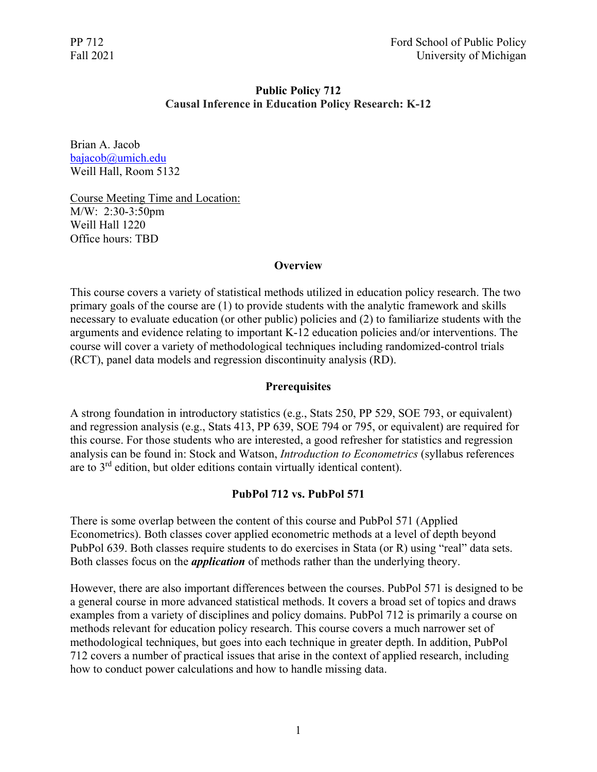# **Public Policy 712 Causal Inference in Education Policy Research: K-12**

Brian A. Jacob [bajacob@umich.edu](mailto:bajacob@umich.edu) Weill Hall, Room 5132

Course Meeting Time and Location: M/W: 2:30-3:50pm Weill Hall 1220 Office hours: TBD

## **Overview**

This course covers a variety of statistical methods utilized in education policy research. The two primary goals of the course are (1) to provide students with the analytic framework and skills necessary to evaluate education (or other public) policies and (2) to familiarize students with the arguments and evidence relating to important K-12 education policies and/or interventions. The course will cover a variety of methodological techniques including randomized-control trials (RCT), panel data models and regression discontinuity analysis (RD).

## **Prerequisites**

A strong foundation in introductory statistics (e.g., Stats 250, PP 529, SOE 793, or equivalent) and regression analysis (e.g., Stats 413, PP 639, SOE 794 or 795, or equivalent) are required for this course. For those students who are interested, a good refresher for statistics and regression analysis can be found in: Stock and Watson, *Introduction to Econometrics* (syllabus references are to 3rd edition, but older editions contain virtually identical content).

## **PubPol 712 vs. PubPol 571**

There is some overlap between the content of this course and PubPol 571 (Applied Econometrics). Both classes cover applied econometric methods at a level of depth beyond PubPol 639. Both classes require students to do exercises in Stata (or R) using "real" data sets. Both classes focus on the *application* of methods rather than the underlying theory.

However, there are also important differences between the courses. PubPol 571 is designed to be a general course in more advanced statistical methods. It covers a broad set of topics and draws examples from a variety of disciplines and policy domains. PubPol 712 is primarily a course on methods relevant for education policy research. This course covers a much narrower set of methodological techniques, but goes into each technique in greater depth. In addition, PubPol 712 covers a number of practical issues that arise in the context of applied research, including how to conduct power calculations and how to handle missing data.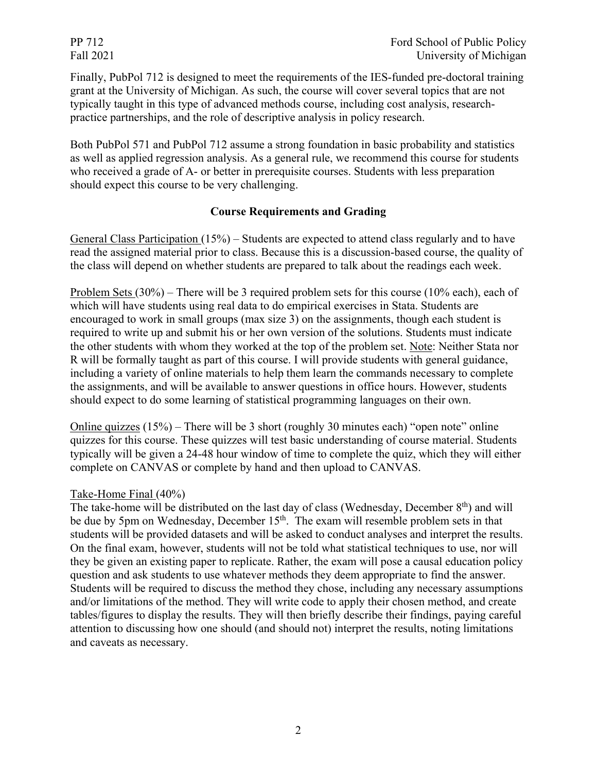Finally, PubPol 712 is designed to meet the requirements of the IES-funded pre-doctoral training grant at the University of Michigan. As such, the course will cover several topics that are not typically taught in this type of advanced methods course, including cost analysis, researchpractice partnerships, and the role of descriptive analysis in policy research.

Both PubPol 571 and PubPol 712 assume a strong foundation in basic probability and statistics as well as applied regression analysis. As a general rule, we recommend this course for students who received a grade of A- or better in prerequisite courses. Students with less preparation should expect this course to be very challenging.

## **Course Requirements and Grading**

General Class Participation (15%) – Students are expected to attend class regularly and to have read the assigned material prior to class. Because this is a discussion-based course, the quality of the class will depend on whether students are prepared to talk about the readings each week.

Problem Sets (30%) – There will be 3 required problem sets for this course (10% each), each of which will have students using real data to do empirical exercises in Stata. Students are encouraged to work in small groups (max size 3) on the assignments, though each student is required to write up and submit his or her own version of the solutions. Students must indicate the other students with whom they worked at the top of the problem set. Note: Neither Stata nor R will be formally taught as part of this course. I will provide students with general guidance, including a variety of online materials to help them learn the commands necessary to complete the assignments, and will be available to answer questions in office hours. However, students should expect to do some learning of statistical programming languages on their own.

Online quizzes  $(15%)$  – There will be 3 short (roughly 30 minutes each) "open note" online quizzes for this course. These quizzes will test basic understanding of course material. Students typically will be given a 24-48 hour window of time to complete the quiz, which they will either complete on CANVAS or complete by hand and then upload to CANVAS.

## Take-Home Final (40%)

The take-home will be distributed on the last day of class (Wednesday, December  $8<sup>th</sup>$ ) and will be due by 5pm on Wednesday, December 15<sup>th</sup>. The exam will resemble problem sets in that students will be provided datasets and will be asked to conduct analyses and interpret the results. On the final exam, however, students will not be told what statistical techniques to use, nor will they be given an existing paper to replicate. Rather, the exam will pose a causal education policy question and ask students to use whatever methods they deem appropriate to find the answer. Students will be required to discuss the method they chose, including any necessary assumptions and/or limitations of the method. They will write code to apply their chosen method, and create tables/figures to display the results. They will then briefly describe their findings, paying careful attention to discussing how one should (and should not) interpret the results, noting limitations and caveats as necessary.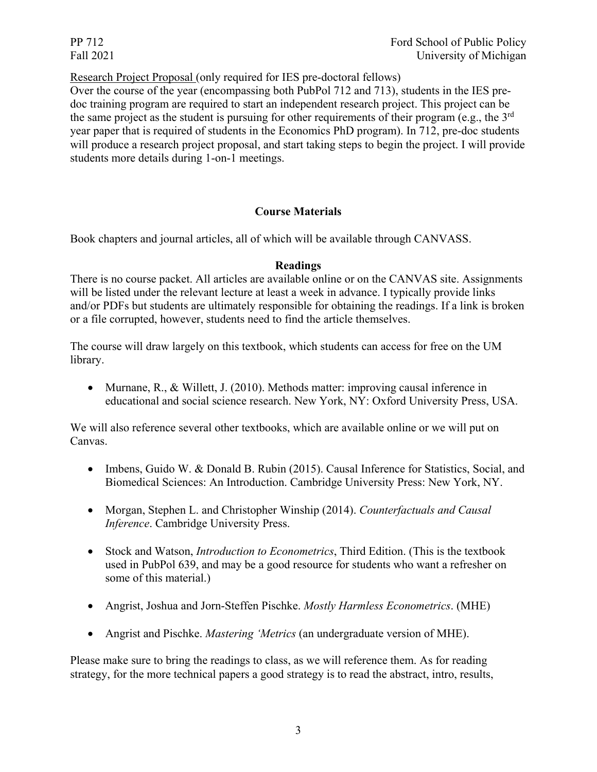Research Project Proposal (only required for IES pre-doctoral fellows)

Over the course of the year (encompassing both PubPol 712 and 713), students in the IES predoc training program are required to start an independent research project. This project can be the same project as the student is pursuing for other requirements of their program (e.g., the  $3<sup>rd</sup>$ year paper that is required of students in the Economics PhD program). In 712, pre-doc students will produce a research project proposal, and start taking steps to begin the project. I will provide students more details during 1-on-1 meetings.

# **Course Materials**

Book chapters and journal articles, all of which will be available through CANVASS.

## **Readings**

There is no course packet. All articles are available online or on the CANVAS site. Assignments will be listed under the relevant lecture at least a week in advance. I typically provide links and/or PDFs but students are ultimately responsible for obtaining the readings. If a link is broken or a file corrupted, however, students need to find the article themselves.

The course will draw largely on this textbook, which students can access for free on the UM library.

• Murnane, R., & Willett, J. (2010). Methods matter: improving causal inference in educational and social science research. New York, NY: Oxford University Press, USA.

We will also reference several other textbooks, which are available online or we will put on Canvas.

- Imbens, Guido W. & Donald B. Rubin (2015). Causal Inference for Statistics, Social, and Biomedical Sciences: An Introduction. Cambridge University Press: New York, NY.
- Morgan, Stephen L. and Christopher Winship (2014). *Counterfactuals and Causal Inference*. Cambridge University Press.
- Stock and Watson, *Introduction to Econometrics*, Third Edition. (This is the textbook used in PubPol 639, and may be a good resource for students who want a refresher on some of this material.)
- Angrist, Joshua and Jorn-Steffen Pischke. *Mostly Harmless Econometrics*. (MHE)
- Angrist and Pischke. *Mastering 'Metrics* (an undergraduate version of MHE).

Please make sure to bring the readings to class, as we will reference them. As for reading strategy, for the more technical papers a good strategy is to read the abstract, intro, results,